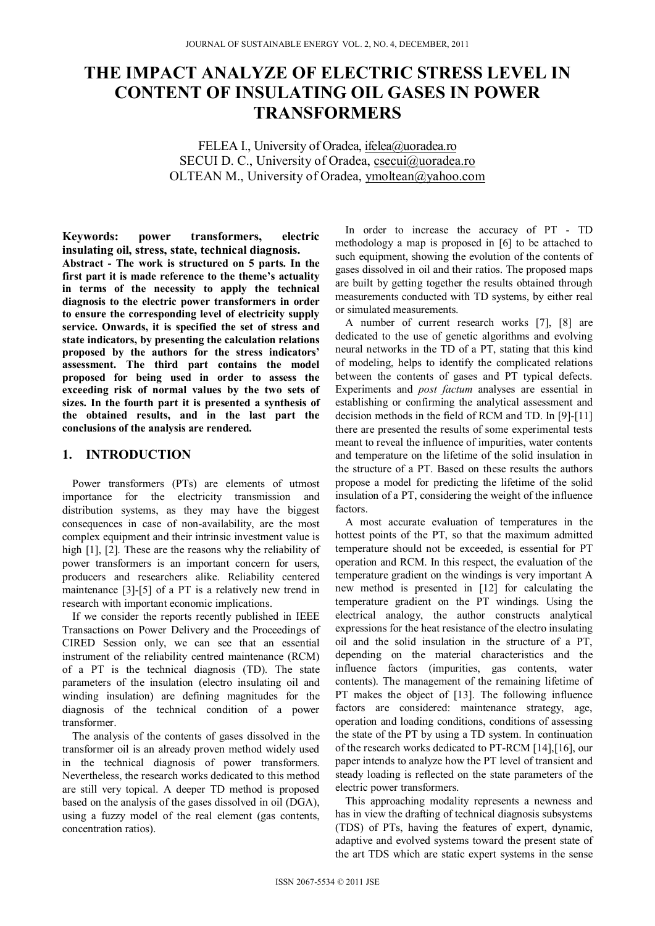# **THE IMPACT ANALYZE OF ELECTRIC STRESS LEVEL IN CONTENT OF INSULATING OIL GASES IN POWER TRANSFORMERS**

FELEA I., University of Oradea, ifelea@uoradea.ro SECUI D. C., University of Oradea, csecui@uoradea.ro OLTEAN M., University of Oradea, ymoltean@yahoo.com

**Keywords: power transformers, electric insulating oil, stress, state, technical diagnosis.**

**Abstract - The work is structured on 5 parts. In the first part it is made reference to the theme's actuality in terms of the necessity to apply the technical diagnosis to the electric power transformers in order to ensure the corresponding level of electricity supply service. Onwards, it is specified the set of stress and state indicators, by presenting the calculation relations proposed by the authors for the stress indicators' assessment. The third part contains the model proposed for being used in order to assess the exceeding risk of normal values by the two sets of sizes. In the fourth part it is presented a synthesis of the obtained results, and in the last part the conclusions of the analysis are rendered.** 

#### **1. INTRODUCTION**

Power transformers (PTs) are elements of utmost importance for the electricity transmission and distribution systems, as they may have the biggest consequences in case of non-availability, are the most complex equipment and their intrinsic investment value is high [1], [2]. These are the reasons why the reliability of power transformers is an important concern for users, producers and researchers alike. Reliability centered maintenance [3]-[5] of a PT is a relatively new trend in research with important economic implications.

If we consider the reports recently published in IEEE Transactions on Power Delivery and the Proceedings of CIRED Session only, we can see that an essential instrument of the reliability centred maintenance (RCM) of a PT is the technical diagnosis (TD). The state parameters of the insulation (electro insulating oil and winding insulation) are defining magnitudes for the diagnosis of the technical condition of a power transformer.

The analysis of the contents of gases dissolved in the transformer oil is an already proven method widely used in the technical diagnosis of power transformers. Nevertheless, the research works dedicated to this method are still very topical. A deeper TD method is proposed based on the analysis of the gases dissolved in oil (DGA), using a fuzzy model of the real element (gas contents, concentration ratios).

In order to increase the accuracy of PT - TD methodology a map is proposed in [6] to be attached to such equipment, showing the evolution of the contents of gases dissolved in oil and their ratios. The proposed maps are built by getting together the results obtained through measurements conducted with TD systems, by either real or simulated measurements.

A number of current research works [7], [8] are dedicated to the use of genetic algorithms and evolving neural networks in the TD of a PT, stating that this kind of modeling, helps to identify the complicated relations between the contents of gases and PT typical defects. Experiments and *post factum* analyses are essential in establishing or confirming the analytical assessment and decision methods in the field of RCM and TD. In [9]-[11] there are presented the results of some experimental tests meant to reveal the influence of impurities, water contents and temperature on the lifetime of the solid insulation in the structure of a PT. Based on these results the authors propose a model for predicting the lifetime of the solid insulation of a PT, considering the weight of the influence factors.

A most accurate evaluation of temperatures in the hottest points of the PT, so that the maximum admitted temperature should not be exceeded, is essential for PT operation and RCM. In this respect, the evaluation of the temperature gradient on the windings is very important A new method is presented in [12] for calculating the temperature gradient on the PT windings. Using the electrical analogy, the author constructs analytical expressions for the heat resistance of the electro insulating oil and the solid insulation in the structure of a PT, depending on the material characteristics and the influence factors (impurities, gas contents, water contents). The management of the remaining lifetime of PT makes the object of [13]. The following influence factors are considered: maintenance strategy, age, operation and loading conditions, conditions of assessing the state of the PT by using a TD system. In continuation of the research works dedicated to PT-RCM [14],[16], our paper intends to analyze how the PT level of transient and steady loading is reflected on the state parameters of the electric power transformers.

This approaching modality represents a newness and has in view the drafting of technical diagnosis subsystems (TDS) of PTs, having the features of expert, dynamic, adaptive and evolved systems toward the present state of the art TDS which are static expert systems in the sense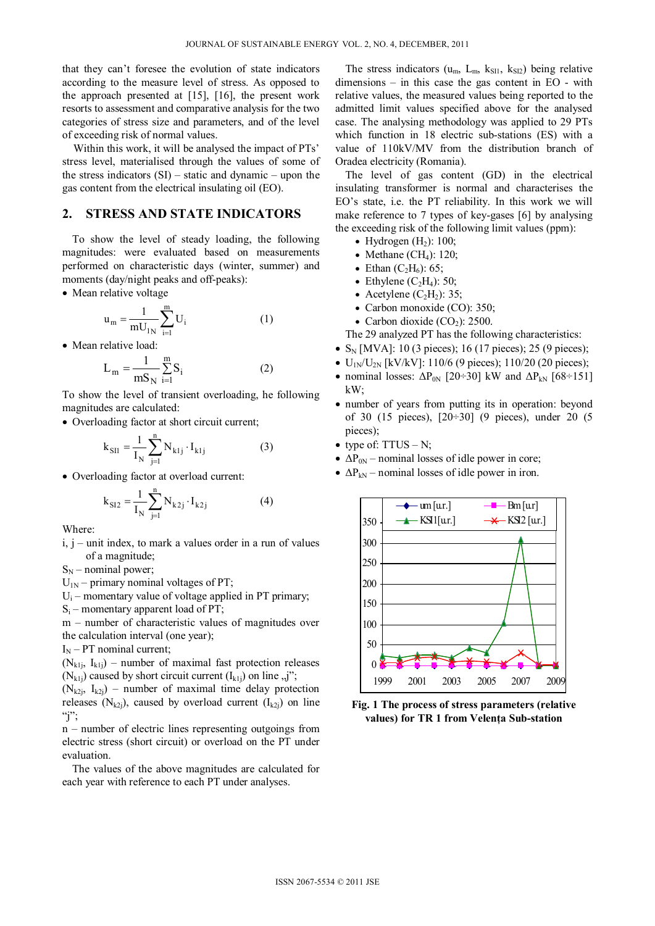that they can't foresee the evolution of state indicators according to the measure level of stress. As opposed to the approach presented at [15], [16], the present work resorts to assessment and comparative analysis for the two categories of stress size and parameters, and of the level of exceeding risk of normal values.

Within this work, it will be analysed the impact of PTs' stress level, materialised through the values of some of the stress indicators  $(SI)$  – static and dynamic – upon the gas content from the electrical insulating oil (EO).

### **2. STRESS AND STATE INDICATORS**

To show the level of steady loading, the following magnitudes: were evaluated based on measurements performed on characteristic days (winter, summer) and moments (day/night peaks and off-peaks):

• Mean relative voltage

$$
u_m = \frac{1}{mU_{1N}} \sum_{i=1}^{m} U_i
$$
 (1)

• Mean relative load:

$$
L_m = \frac{1}{mS_N} \sum_{i=1}^{m} S_i
$$
 (2)

To show the level of transient overloading, he following magnitudes are calculated:

Overloading factor at short circuit current;

$$
k_{\text{SII}} = \frac{1}{I_{\text{N}}} \sum_{j=1}^{n} N_{klj} \cdot I_{klj}
$$
 (3)

Overloading factor at overload current:

$$
k_{SI2} = \frac{1}{I_N} \sum_{j=1}^{n} N_{k2j} \cdot I_{k2j}
$$
 (4)

Where:

 $i, j$  – unit index, to mark a values order in a run of values of a magnitude;

 $S_N$  – nominal power;

- $U_{1N}$  primary nominal voltages of PT;
- $U_i$  momentary value of voltage applied in PT primary;
- $S_i$  momentary apparent load of PT;

m – number of characteristic values of magnitudes over the calculation interval (one year);

 $I_N$  – PT nominal current;

 $(N_{k1i}, I_{k1i})$  – number of maximal fast protection releases  $(N_{k1j})$  caused by short circuit current  $(I_{k1j})$  on line  $,j$ ";

 $(N_{k2i}, I_{k2i})$  – number of maximal time delay protection releases (N<sub>k2j</sub>), caused by overload current ( $I_{k2j}$ ) on line "j";

n – number of electric lines representing outgoings from electric stress (short circuit) or overload on the PT under evaluation.

The values of the above magnitudes are calculated for each year with reference to each PT under analyses.

The stress indicators ( $u_m$ ,  $L_m$ ,  $k_{SI1}$ ,  $k_{SI2}$ ) being relative dimensions – in this case the gas content in EO - with relative values, the measured values being reported to the admitted limit values specified above for the analysed case. The analysing methodology was applied to 29 PTs which function in 18 electric sub-stations (ES) with a value of 110kV/MV from the distribution branch of Oradea electricity (Romania).

The level of gas content (GD) in the electrical insulating transformer is normal and characterises the EO's state, i.e. the PT reliability. In this work we will make reference to 7 types of key-gases [6] by analysing the exceeding risk of the following limit values (ppm):

- Hydrogen  $(H<sub>2</sub>)$ : 100;
- Methane (CH<sub>4</sub>): 120;
- Ethan  $(C_2H_6)$ : 65;
- Ethylene  $(C_2H_4)$ : 50;
- Acetylene  $(C_2H_2)$ : 35;
- Carbon monoxide (CO): 350;
- Carbon dioxide  $(CO<sub>2</sub>)$ : 2500.

The 29 analyzed PT has the following characteristics:

- $S_N$  [MVA]: 10 (3 pieces); 16 (17 pieces); 25 (9 pieces);
- $U_{1N}/U_{2N}$  [kV/kV]: 110/6 (9 pieces); 110/20 (20 pieces);
- nominal losses:  $\Delta P_{0N}$  [20÷30] kW and  $\Delta P_{kN}$  [68÷151] kW;
- number of years from putting its in operation: beyond of 30 (15 pieces), [20÷30] (9 pieces), under 20 (5 pieces);
- type of:  $TTUS N$ ;
- $\triangle P_{0N}$  nominal losses of idle power in core;
- $\triangle P_{kN}$  nominal losses of idle power in iron.



**Fig. 1 The process of stress parameters (relative values) for TR 1 from Velenţa Sub-station**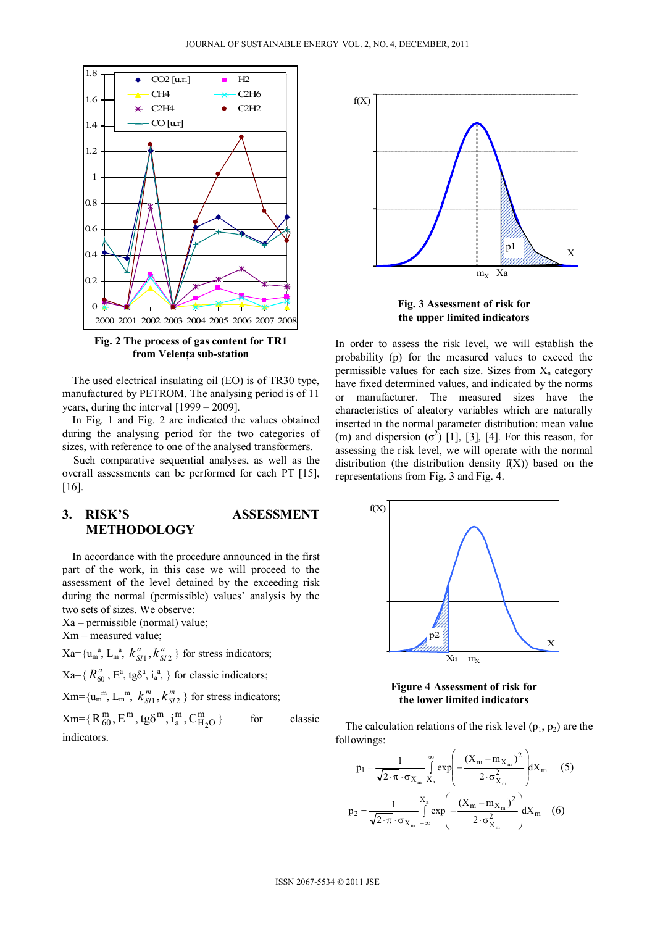

**Fig. 2 The process of gas content for TR1 from Velenţa sub-station** 

The used electrical insulating oil (EO) is of TR30 type, manufactured by PETROM. The analysing period is of 11 years, during the interval [1999 – 2009].

In Fig. 1 and Fig. 2 are indicated the values obtained during the analysing period for the two categories of sizes, with reference to one of the analysed transformers.

Such comparative sequential analyses, as well as the overall assessments can be performed for each PT [15], [16].

# **3. RISK'S ASSESSMENT METHODOLOGY**

In accordance with the procedure announced in the first part of the work, in this case we will proceed to the assessment of the level detained by the exceeding risk during the normal (permissible) values' analysis by the two sets of sizes. We observe:

Xa – permissible (normal) value;

Xm – measured value;

 $Xa = {u_m}^a, L_m^a, k_{SI}^a, k_{SI}^a$  $k_{SI1}^a$ ,  $k_{SI2}^a$  } for stress indicators;

 $Xa = \{ R_{60}^a, E^a, t g \delta^a, i_a^a, \}$  for classic indicators;

 $Xm = \{u_m^m, L_m^m, k_{SI}^m, k_{SI}^m\}$  $k_{SI1}^m, k_{SI2}^m$  } for stress indicators;

| $Xm = \{R_{60}^m, E^m, tg\delta^m, i_a^m, C_{H_2O}^m\}$ | for | classic |
|---------------------------------------------------------|-----|---------|
| indicators.                                             |     |         |



**Fig. 3 Assessment of risk for the upper limited indicators** 

In order to assess the risk level, we will establish the probability (p) for the measured values to exceed the permissible values for each size. Sizes from  $X_a$  category have fixed determined values, and indicated by the norms or manufacturer. The measured sizes have the characteristics of aleatory variables which are naturally inserted in the normal parameter distribution: mean value (m) and dispersion  $(\sigma^2)$  [1], [3], [4]. For this reason, for assessing the risk level, we will operate with the normal distribution (the distribution density  $f(X)$ ) based on the representations from Fig. 3 and Fig. 4.



**Figure 4 Assessment of risk for the lower limited indicators** 

The calculation relations of the risk level  $(p_1, p_2)$  are the followings:

$$
p_1 = \frac{1}{\sqrt{2 \cdot \pi} \cdot \sigma_{X_m}} \int_{X_a}^{\infty} exp\left(-\frac{(X_m - m_{X_m})^2}{2 \cdot \sigma_{X_m}^2}\right) dX_m \quad (5)
$$
  

$$
p_2 = \frac{1}{\sqrt{2 \cdot \pi} \cdot \sigma_{X_m}} \int_{-\infty}^{X_a} exp\left(-\frac{(X_m - m_{X_m})^2}{2 \cdot \sigma_{X_m}^2}\right) dX_m \quad (6)
$$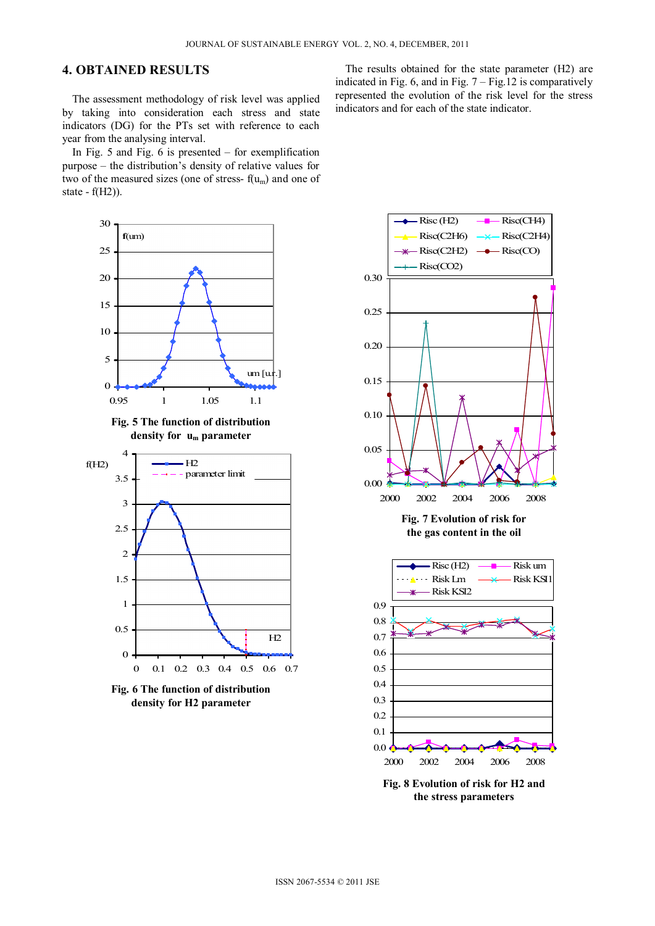## **4. OBTAINED RESULTS**

The assessment methodology of risk level was applied by taking into consideration each stress and state indicators (DG) for the PTs set with reference to each year from the analysing interval.

In Fig. 5 and Fig. 6 is presented – for exemplification purpose – the distribution's density of relative values for two of the measured sizes (one of stress- $f(u_m)$  and one of state - f(H2)).







**Fig. 6 The function of distribution density for H2 parameter** 

The results obtained for the state parameter (H2) are indicated in Fig. 6, and in Fig.  $7 -$  Fig. 12 is comparatively represented the evolution of the risk level for the stress indicators and for each of the state indicator.



**Fig. 8 Evolution of risk for H2 and the stress parameters**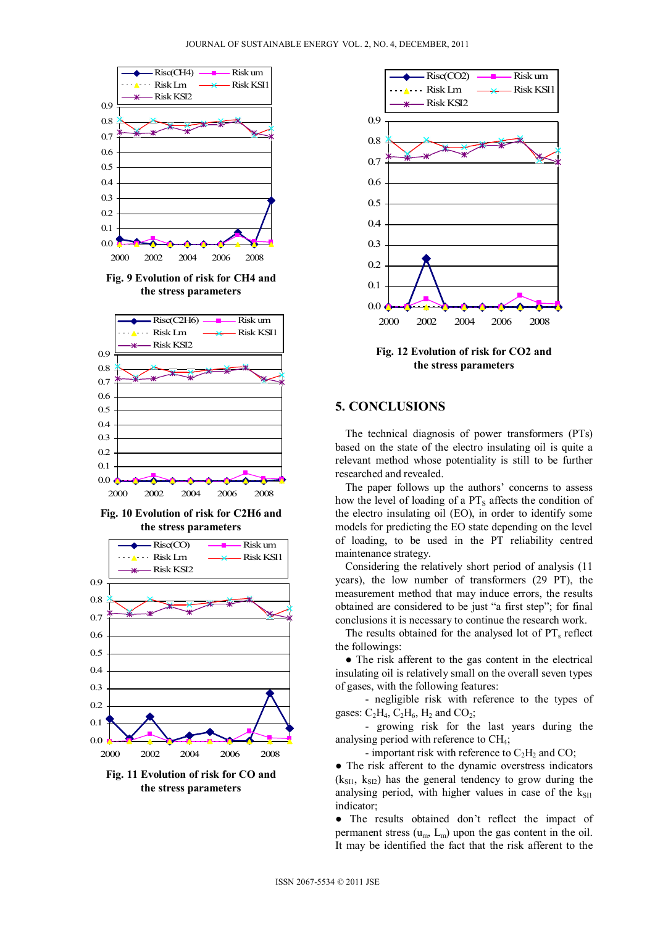

**Fig. 9 Evolution of risk for CH4 and the stress parameters** 



**Fig. 10 Evolution of risk for C2H6 and the stress parameters** 



**Fig. 11 Evolution of risk for CO and the stress parameters** 



**Fig. 12 Evolution of risk for CO2 and the stress parameters** 

# **5. CONCLUSIONS**

The technical diagnosis of power transformers (PTs) based on the state of the electro insulating oil is quite a relevant method whose potentiality is still to be further researched and revealed.

The paper follows up the authors' concerns to assess how the level of loading of a  $PT_s$  affects the condition of the electro insulating oil (EO), in order to identify some models for predicting the EO state depending on the level of loading, to be used in the PT reliability centred maintenance strategy.

Considering the relatively short period of analysis (11 years), the low number of transformers (29 PT), the measurement method that may induce errors, the results obtained are considered to be just "a first step"; for final conclusions it is necessary to continue the research work.

The results obtained for the analysed lot of  $PT_s$  reflect the followings:

• The risk afferent to the gas content in the electrical insulating oil is relatively small on the overall seven types of gases, with the following features:

 - negligible risk with reference to the types of gases:  $C_2H_4$ ,  $C_2H_6$ ,  $H_2$  and  $CO_2$ ;

 - growing risk for the last years during the analysing period with reference to CH4;

- important risk with reference to  $C_2H_2$  and CO;

• The risk afferent to the dynamic overstress indicators  $(k_{\rm SI1}, k_{\rm SI2})$  has the general tendency to grow during the analysing period, with higher values in case of the  $k_{\text{S11}}$ indicator;

● The results obtained don't reflect the impact of permanent stress  $(u_m, L_m)$  upon the gas content in the oil. It may be identified the fact that the risk afferent to the